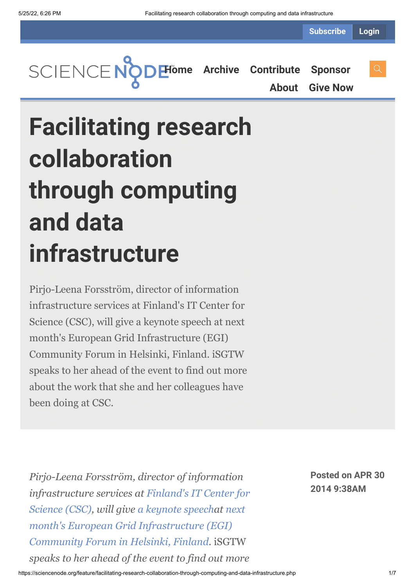**Subscribe Login**

**[Home](https://sciencenode.org/) [Archive](https://sciencenode.org/archive/index.php) [Contribute](https://sciencenode.org/contribute/index.php) [Sponsor](https://sciencenode.org/sponsor/index.php) [About](https://sciencenode.org/about/index.php) [Give Now](https://sciencenode.org/donate/index.php)**

**Facilitating research collaboration through computing and data infrastructure**

Pirjo-Leena Forsström, director of information infrastructure services at Finland's IT Center for Science (CSC), will give a keynote speech at next month's European Grid Infrastructure (EGI) Community Forum in Helsinki, Finland. iSGTW speaks to her ahead of the event to find out more about the work that she and her colleagues have been doing at CSC.

*Pirjo-Leena Forsström, director of information [infrastructure services at](http://www.csc.fi/english) Finland's IT Center for Science (CSC), will give [a keynote speech](http://cf2014.egi.eu/keynotes/#plf)at next [month's European Grid Infrastructure \(EGI\)](http://cf2014.egi.eu/) Community Forum in Helsinki, Finland.* iSGTW *speaks to her ahead of the event to find out more*

**Posted on APR 30 2014 9:38AM**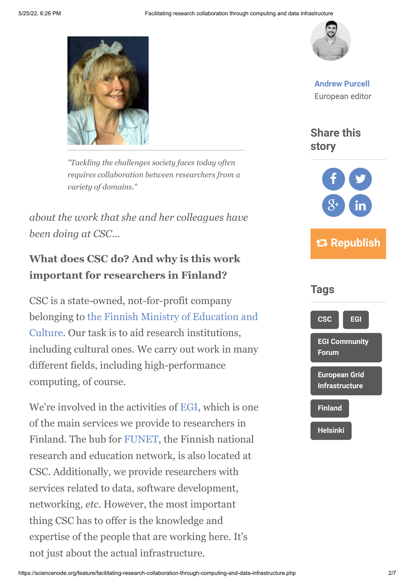

*"Tackling the challenges society faces today often requires collaboration between researchers from a variety of domains."*

*about the work that she and her colleagues have been doing at CSC…*

#### **What does CSC do? And why is this work important for researchers in Finland?**

CSC is a state-owned, not-for-profit company [belonging to the Finnish Ministry of Education and](http://www.minedu.fi/OPM/?lang=en) Culture. Our task is to aid research institutions, including cultural ones. We carry out work in many different fields, including high-performance computing, of course.

We're involved in the activities of [EGI](http://www.egi.eu/), which is one of the main services we provide to researchers in Finland. The hub for [FUNET](http://www.csc.fi/english/institutions/funet/index_html), the Finnish national research and education network, is also located at CSC. Additionally, we provide researchers with services related to data, software development, networking, *etc*. However, the most important thing CSC has to offer is the knowledge and expertise of the people that are working here. It's not just about the actual infrastructure.



**[Andrew Purcell](https://sciencenode.org/author/andrew-purcell.php)** European editor

**Share this story**



 **Republish**

# **[CSC](https://sciencenode.org/tag/?tag=CSC) [EGI](https://sciencenode.org/tag/?tag=EGI) [EGI Community](https://sciencenode.org/tag/?tag=EGI%20Community%20Forum) Forum [European Grid](https://sciencenode.org/tag/?tag=European%20Grid%20Infrastructure) Infrastructure [Finland](https://sciencenode.org/tag/?tag=Finland) [Helsinki](https://sciencenode.org/tag/?tag=Helsinki) Tags**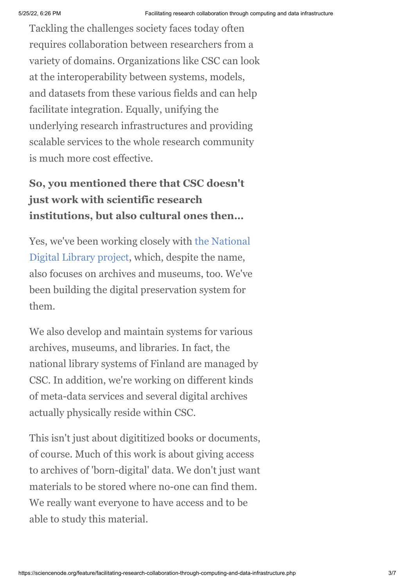Tackling the challenges society faces today often requires collaboration between researchers from a variety of domains. Organizations like CSC can look at the interoperability between systems, models, and datasets from these various fields and can help facilitate integration. Equally, unifying the underlying research infrastructures and providing scalable services to the whole research community is much more cost effective.

## **So, you mentioned there that CSC doesn't just work with scientific research institutions, but also cultural ones then…**

[Yes, we've been working closely with the National](http://www.kdk.fi/en) Digital Library project, which, despite the name, also focuses on archives and museums, too. We've been building the digital preservation system for them.

We also develop and maintain systems for various archives, museums, and libraries. In fact, the national library systems of Finland are managed by CSC. In addition, we're working on different kinds of meta-data services and several digital archives actually physically reside within CSC.

This isn't just about digititized books or documents, of course. Much of this work is about giving access to archives of 'born-digital' data. We don't just want materials to be stored where no-one can find them. We really want everyone to have access and to be able to study this material.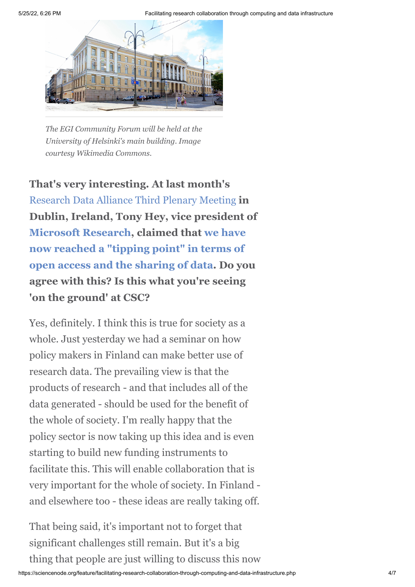

*The EGI Community Forum will be held at the University of Helsinki's main building. Image courtesy Wikimedia Commons.*

**That's very interesting. At last month's** [Research Data Alliance Third Plenary Meeting](https://rd-alliance.org/rda-third-plenary-meeting.html) **in Dublin, Ireland, Tony Hey, vice president of [Microsoft Research](http://en.wikipedia.org/wiki/Microsoft_Research), claimed that we have [now reached a "tipping point" in terms of](http://www.isgtw.org/feature/deluge-data-dublin) open access and the sharing of data. Do you agree with this? Is this what you're seeing 'on the ground' at CSC?**

Yes, definitely. I think this is true for society as a whole. Just yesterday we had a seminar on how policy makers in Finland can make better use of research data. The prevailing view is that the products of research - and that includes all of the data generated - should be used for the benefit of the whole of society. I'm really happy that the policy sector is now taking up this idea and is even starting to build new funding instruments to facilitate this. This will enable collaboration that is very important for the whole of society. In Finland and elsewhere too - these ideas are really taking off.

That being said, it's important not to forget that significant challenges still remain. But it's a big thing that people are just willing to discuss this now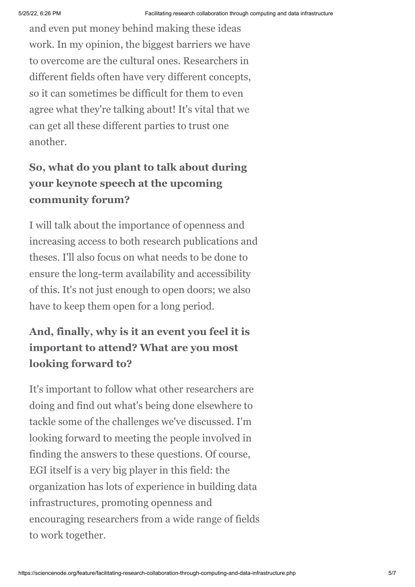and even put money behind making these ideas work. In my opinion, the biggest barriers we have to overcome are the cultural ones. Researchers in different fields often have very different concepts, so it can sometimes be difficult for them to even agree what they're talking about! It's vital that we can get all these different parties to trust one another.

### **So, what do you plant to talk about during your keynote speech at the upcoming community forum?**

I will talk about the importance of openness and increasing access to both research publications and theses. I'll also focus on what needs to be done to ensure the long-term availability and accessibility of this. It's not just enough to open doors; we also have to keep them open for a long period.

## **And, finally, why is it an event you feel it is important to attend? What are you most looking forward to?**

It's important to follow what other researchers are doing and find out what's being done elsewhere to tackle some of the challenges we've discussed. I'm looking forward to meeting the people involved in finding the answers to these questions. Of course, EGI itself is a very big player in this field: the organization has lots of experience in building data infrastructures, promoting openness and encouraging researchers from a wide range of fields to work together.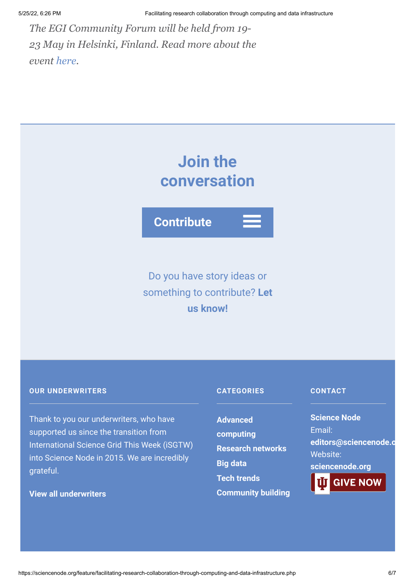*The EGI Community Forum will be held from 19- 23 May in Helsinki, Finland. Read more about the event [here.](http://cf2014.egi.eu/)*



**Contribute**

## Do you have story ideas or something to contribute? **Let us know!**

#### **OUR UNDERWRITERS**

Thank to you our underwriters, who have supported us since the transition from International Science Grid This Week (iSGTW) into Science Node in 2015. We are incredibly grateful.

#### **[View all underwriters](https://sciencenode.org/about/index.php)**

#### **CATEGORIES**

**Advanced [computing](https://sciencenode.org/archive/?year=2016&category=Advanced%20computing) [Research networks](https://sciencenode.org/archive/?year=2016&category=Advanced%20computing&category=Research%20networks) [Big data](https://sciencenode.org/archive/?year=2016&category=Advanced%20computing&category=Research%20networks&category=Big%20data) [Tech trends](https://sciencenode.org/archive/?year=2016&category=Advanced%20computing&category=Research%20networks&category=Big%20data&category=Tech%20trends) [Community building](https://sciencenode.org/archive/?year=2016&category=Advanced%20computing&category=Research%20networks&category=Big%20data&category=Tech%20trends&category=Community%20building)**

#### **CONTACT**

**Science Node** Email: **[editors@sciencenode.o](mailto:edit%6F%72s@s%63%69encenode.%6F%72%67)** Website: **[sciencenode.org](https://sciencenode.org/)**